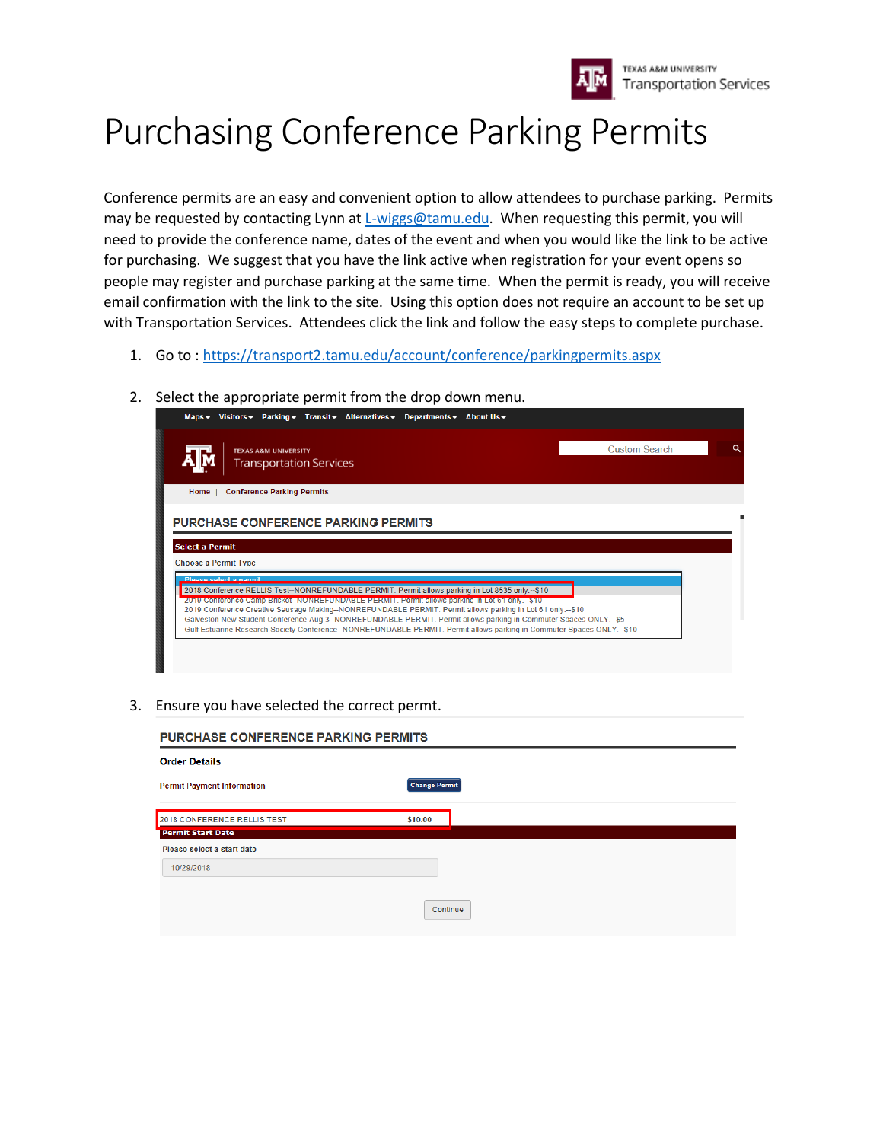

## Purchasing Conference Parking Permits

Conference permits are an easy and convenient option to allow attendees to purchase parking. Permits may be requested by contacting Lynn at [L-wiggs@tamu.edu.](mailto:L-wiggs@tamu.edu) When requesting this permit, you will need to provide the conference name, dates of the event and when you would like the link to be active for purchasing. We suggest that you have the link active when registration for your event opens so people may register and purchase parking at the same time. When the permit is ready, you will receive email confirmation with the link to the site. Using this option does not require an account to be set up with Transportation Services. Attendees click the link and follow the easy steps to complete purchase.

- 1. Go to [: https://transport2.tamu.edu/account/conference/parkingpermits.aspx](https://transport2.tamu.edu/account/conference/parkingpermits.aspx)
- 2. Select the appropriate permit from the drop down menu.

| <b>TEXAS A&amp;M UNIVERSITY</b><br><b>Transportation Services</b> | <b>Custom Search</b> |
|-------------------------------------------------------------------|----------------------|
| <b>Conference Parking Permits</b><br>Home 1                       |                      |
| <b>PURCHASE CONFERENCE PARKING PERMITS</b>                        |                      |
| <b>Select a Permit</b>                                            |                      |
| <b>Choose a Permit Type</b>                                       |                      |
| Please select a nermit                                            |                      |

## 3. Ensure you have selected the correct permt.

| <b>PURCHASE CONFERENCE PARKING PERMITS</b> |  |
|--------------------------------------------|--|
|                                            |  |
| <b>Change Permit</b>                       |  |
| \$10.00                                    |  |
|                                            |  |
|                                            |  |
|                                            |  |
|                                            |  |
| Continue                                   |  |
|                                            |  |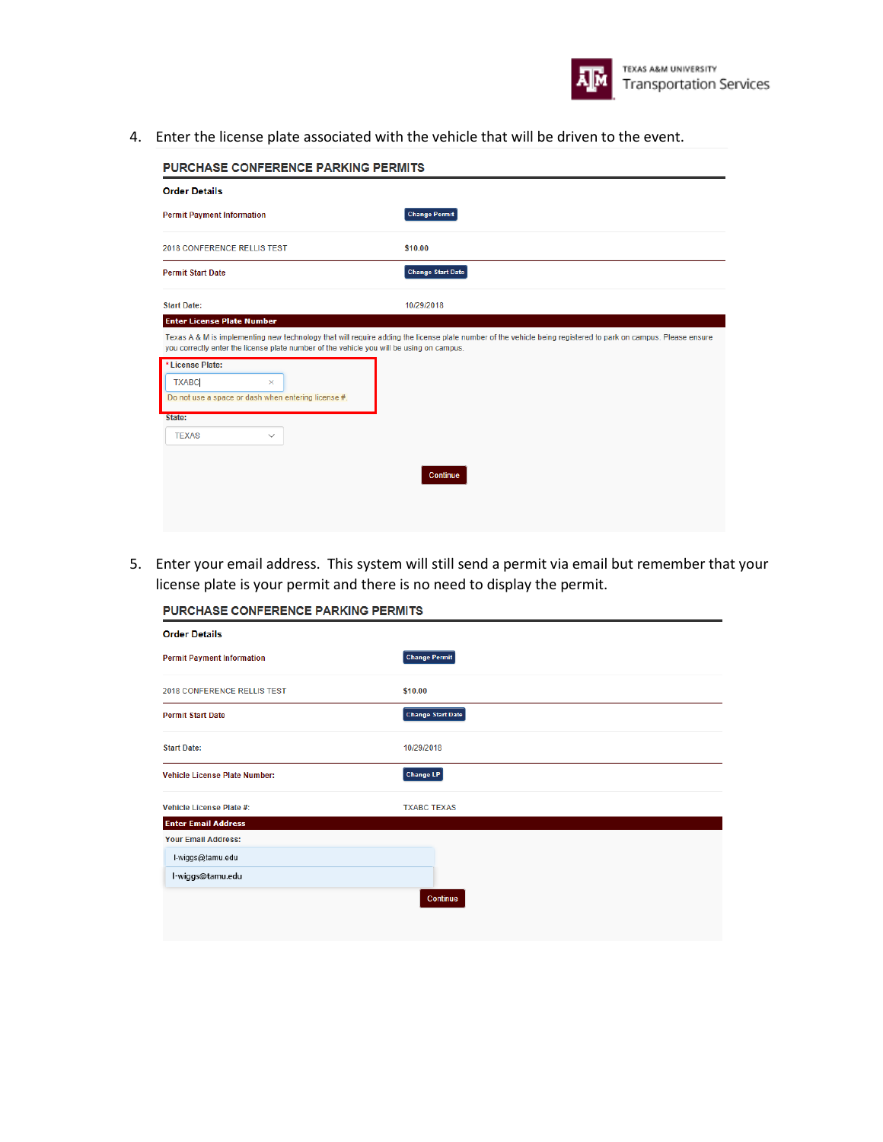

4. Enter the license plate associated with the vehicle that will be driven to the event.

| <b>Order Details</b>                                                                     |                                                                                                                                                               |
|------------------------------------------------------------------------------------------|---------------------------------------------------------------------------------------------------------------------------------------------------------------|
| <b>Permit Payment Information</b>                                                        | <b>Change Permit</b>                                                                                                                                          |
| <b>2018 CONFERENCE RELLIS TEST</b>                                                       | \$10.00                                                                                                                                                       |
| <b>Permit Start Date</b>                                                                 | <b>Change Start Date</b>                                                                                                                                      |
| <b>Start Date:</b>                                                                       | 10/29/2018                                                                                                                                                    |
| <b>Enter License Plate Number</b>                                                        |                                                                                                                                                               |
| you correctly enter the license plate number of the vehicle you will be using on campus. | Texas A & M is implementing new technology that will require adding the license plate number of the vehicle being registered to park on campus. Please ensure |
|                                                                                          |                                                                                                                                                               |
| License Plate:                                                                           |                                                                                                                                                               |
| <b>TXABC</b><br>×                                                                        |                                                                                                                                                               |
| Do not use a space or dash when entering license #.                                      |                                                                                                                                                               |
| State:                                                                                   |                                                                                                                                                               |
| <b>TEXAS</b><br>$\checkmark$                                                             |                                                                                                                                                               |
|                                                                                          |                                                                                                                                                               |
|                                                                                          |                                                                                                                                                               |
|                                                                                          | Continue                                                                                                                                                      |

5. Enter your email address. This system will still send a permit via email but remember that your license plate is your permit and there is no need to display the permit.

PURCHASE CONFERENCE PARKING PERMITS

| <b>Order Details</b>                 |                          |
|--------------------------------------|--------------------------|
| <b>Permit Payment Information</b>    | <b>Change Permit</b>     |
| <b>2018 CONFERENCE RELLIS TEST</b>   | \$10.00                  |
| <b>Permit Start Date</b>             | <b>Change Start Date</b> |
| <b>Start Date:</b>                   | 10/29/2018               |
| <b>Vehicle License Plate Number:</b> | <b>Change LP</b>         |
| Vehicle License Plate #:             | <b>TXABC TEXAS</b>       |
| <b>Enter Email Address</b>           |                          |
| <b>Your Email Address:</b>           |                          |
| I-wiggs@tamu.edu                     |                          |
| l-wiggs@tamu.edu                     |                          |
|                                      | Continue                 |
|                                      |                          |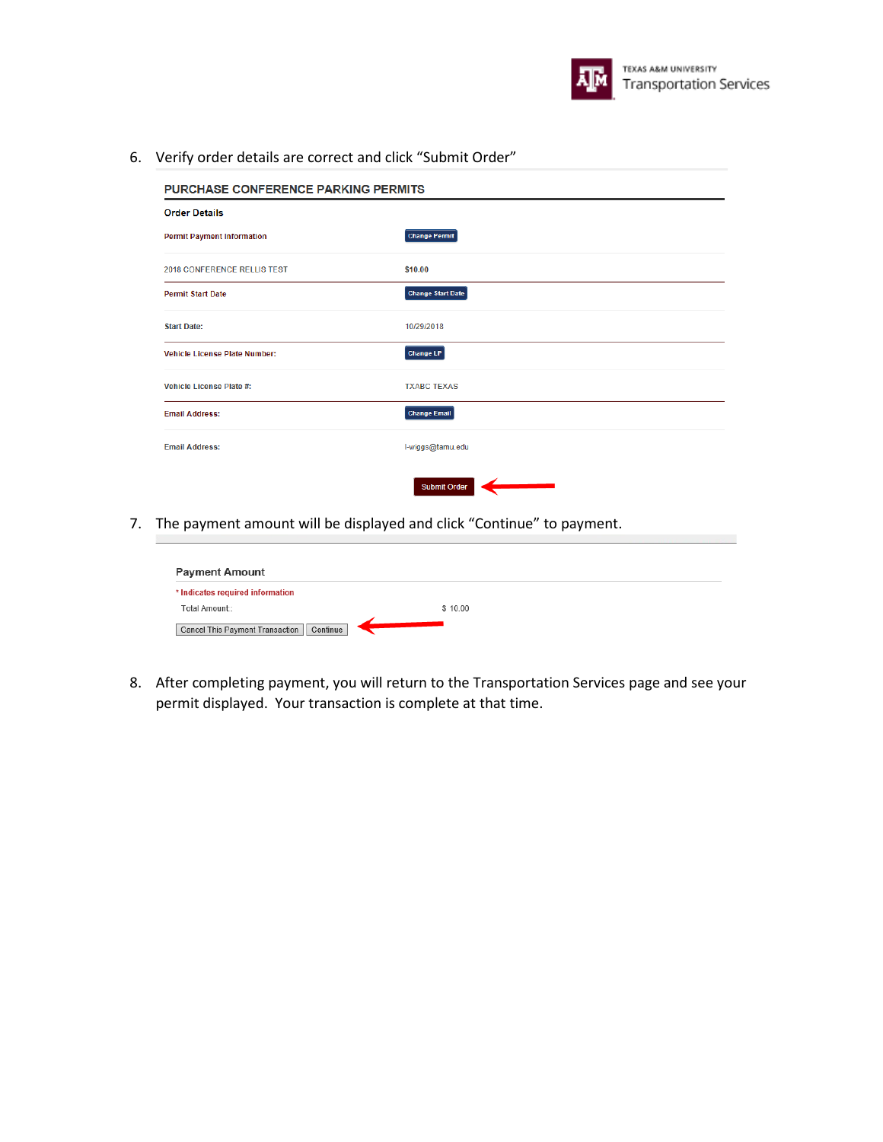

6. Verify order details are correct and click "Submit Order"

| <b>PURCHASE CONFERENCE PARKING PERMITS</b> |                          |  |
|--------------------------------------------|--------------------------|--|
| <b>Order Details</b>                       |                          |  |
| <b>Permit Payment Information</b>          | <b>Change Permit</b>     |  |
| <b>2018 CONFERENCE RELLIS TEST</b>         | \$10.00                  |  |
| <b>Permit Start Date</b>                   | <b>Change Start Date</b> |  |
| <b>Start Date:</b>                         | 10/29/2018               |  |
| <b>Vehicle License Plate Number:</b>       | <b>Change LP</b>         |  |
| <b>Vehicle License Plate #:</b>            | <b>TXABC TEXAS</b>       |  |
| <b>Email Address:</b>                      | <b>Change Email</b>      |  |
| <b>Email Address:</b>                      | I-wiggs@tamu.edu         |  |
|                                            | <b>Submit Order</b>      |  |

7. The payment amount will be displayed and click "Continue" to payment.

| <b>Payment Amount</b>                       |         |  |
|---------------------------------------------|---------|--|
| * Indicates required information            |         |  |
| Total Amount::                              | \$10.00 |  |
| Continue<br>Cancel This Payment Transaction |         |  |

8. After completing payment, you will return to the Transportation Services page and see your permit displayed. Your transaction is complete at that time.